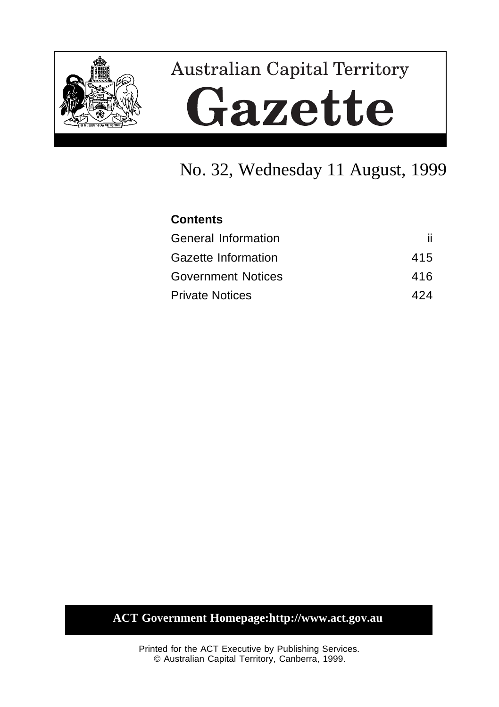

# **Australian Capital Territory** Gazette

## No. 32, Wednesday 11 August, 1999

## **Contents** General Information iii Gazette Information 415 Government Notices 416 Private Notices 424

### **ACT Government Homepage:http://www.act.gov.au**

Printed for the ACT Executive by Publishing Services. © Australian Capital Territory, Canberra, 1999.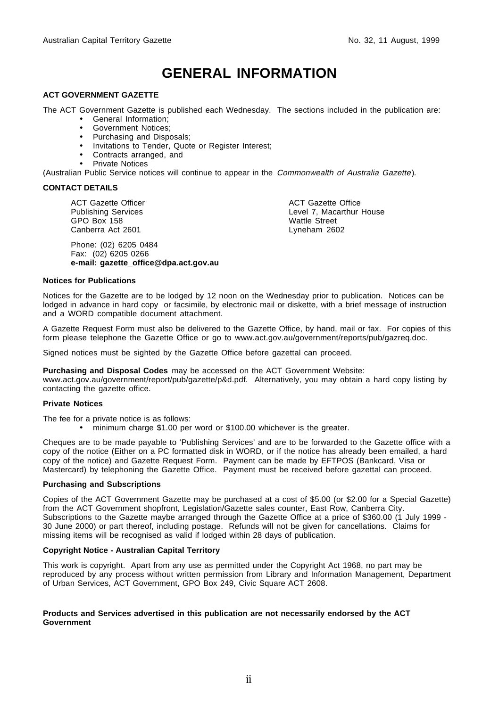## **GENERAL INFORMATION**

#### **ACT GOVERNMENT GAZETTE**

The ACT Government Gazette is published each Wednesday. The sections included in the publication are:

- General Information;
- Government Notices;
- Purchasing and Disposals;
- Invitations to Tender, Quote or Register Interest;
- Contracts arranged, and
- Private Notices

(Australian Public Service notices will continue to appear in the Commonwealth of Australia Gazette).

#### **CONTACT DETAILS**

ACT Gazette Officer Publishing Services GPO Box 158 Canberra Act 2601

Phone: (02) 6205 0484 Fax: (02) 6205 0266 **e-mail: gazette\_office@dpa.act.gov.au** ACT Gazette Office Level 7, Macarthur House Wattle Street Lyneham 2602

#### **Notices for Publications**

Notices for the Gazette are to be lodged by 12 noon on the Wednesday prior to publication. Notices can be lodged in advance in hard copy or facsimile, by electronic mail or diskette, with a brief message of instruction and a WORD compatible document attachment.

A Gazette Request Form must also be delivered to the Gazette Office, by hand, mail or fax. For copies of this form please telephone the Gazette Office or go to www.act.gov.au/government/reports/pub/gazreq.doc.

Signed notices must be sighted by the Gazette Office before gazettal can proceed.

**Purchasing and Disposal Codes** may be accessed on the ACT Government Website:

www.act.gov.au/government/report/pub/gazette/p&d.pdf. Alternatively, you may obtain a hard copy listing by contacting the gazette office.

#### **Private Notices**

The fee for a private notice is as follows:

• minimum charge \$1.00 per word or \$100.00 whichever is the greater.

Cheques are to be made payable to 'Publishing Services' and are to be forwarded to the Gazette office with a copy of the notice (Either on a PC formatted disk in WORD, or if the notice has already been emailed, a hard copy of the notice) and Gazette Request Form. Payment can be made by EFTPOS (Bankcard, Visa or Mastercard) by telephoning the Gazette Office. Payment must be received before gazettal can proceed.

#### **Purchasing and Subscriptions**

Copies of the ACT Government Gazette may be purchased at a cost of \$5.00 (or \$2.00 for a Special Gazette) from the ACT Government shopfront, Legislation/Gazette sales counter, East Row, Canberra City. Subscriptions to the Gazette maybe arranged through the Gazette Office at a price of \$360.00 (1 July 1999 - 30 June 2000) or part thereof, including postage. Refunds will not be given for cancellations. Claims for missing items will be recognised as valid if lodged within 28 days of publication.

#### **Copyright Notice - Australian Capital Territory**

This work is copyright. Apart from any use as permitted under the Copyright Act 1968, no part may be reproduced by any process without written permission from Library and Information Management, Department of Urban Services, ACT Government, GPO Box 249, Civic Square ACT 2608.

#### **Products and Services advertised in this publication are not necessarily endorsed by the ACT Government**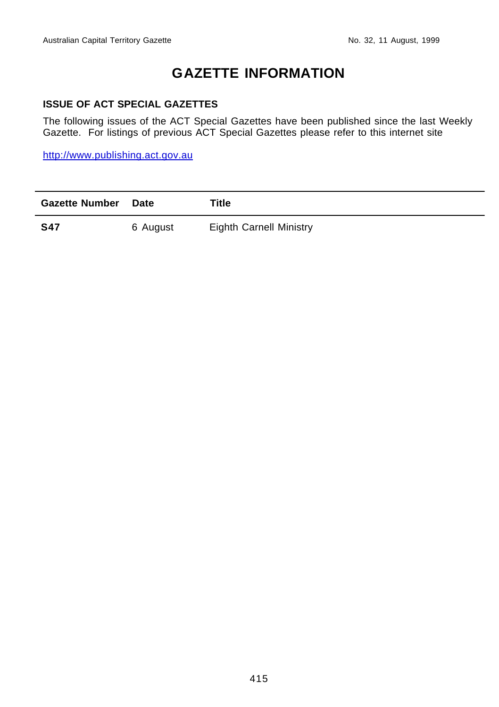## **GAZETTE INFORMATION**

#### **ISSUE OF ACT SPECIAL GAZETTES**

The following issues of the ACT Special Gazettes have been published since the last Weekly Gazette. For listings of previous ACT Special Gazettes please refer to this internet site

http://www.publishing.act.gov.au

| <b>Gazette Number</b> Date |          | Title                          |
|----------------------------|----------|--------------------------------|
| <b>S47</b>                 | 6 August | <b>Eighth Carnell Ministry</b> |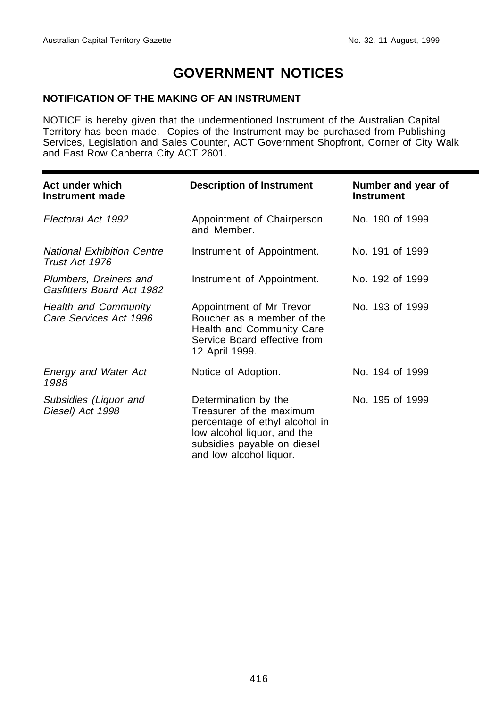## **GOVERNMENT NOTICES**

#### **NOTIFICATION OF THE MAKING OF AN INSTRUMENT**

NOTICE is hereby given that the undermentioned Instrument of the Australian Capital Territory has been made. Copies of the Instrument may be purchased from Publishing Services, Legislation and Sales Counter, ACT Government Shopfront, Corner of City Walk and East Row Canberra City ACT 2601.

| Act under which<br>Instrument made                    | <b>Description of Instrument</b>                                                                                                                                            | Number and year of<br><b>Instrument</b> |
|-------------------------------------------------------|-----------------------------------------------------------------------------------------------------------------------------------------------------------------------------|-----------------------------------------|
| Electoral Act 1992                                    | Appointment of Chairperson<br>and Member.                                                                                                                                   | No. 190 of 1999                         |
| <b>National Exhibition Centre</b><br>Trust Act 1976   | Instrument of Appointment.                                                                                                                                                  | No. 191 of 1999                         |
| Plumbers, Drainers and<br>Gasfitters Board Act 1982   | Instrument of Appointment.                                                                                                                                                  | No. 192 of 1999                         |
| <b>Health and Community</b><br>Care Services Act 1996 | Appointment of Mr Trevor<br>Boucher as a member of the<br>Health and Community Care<br>Service Board effective from<br>12 April 1999.                                       | No. 193 of 1999                         |
| <b>Energy and Water Act</b><br>1988                   | Notice of Adoption.                                                                                                                                                         | No. 194 of 1999                         |
| Subsidies (Liquor and<br>Diesel) Act 1998             | Determination by the<br>Treasurer of the maximum<br>percentage of ethyl alcohol in<br>low alcohol liquor, and the<br>subsidies payable on diesel<br>and low alcohol liquor. | No. 195 of 1999                         |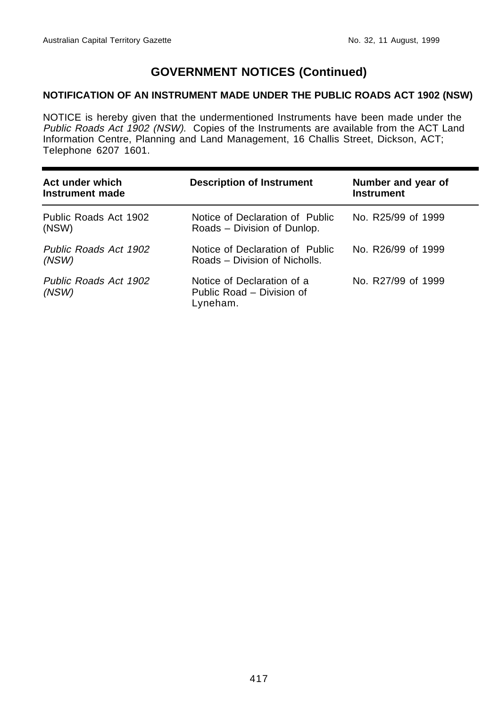#### **NOTIFICATION OF AN INSTRUMENT MADE UNDER THE PUBLIC ROADS ACT 1902 (NSW)**

NOTICE is hereby given that the undermentioned Instruments have been made under the Public Roads Act 1902 (NSW). Copies of the Instruments are available from the ACT Land Information Centre, Planning and Land Management, 16 Challis Street, Dickson, ACT; Telephone 6207 1601.

| Act under which<br>Instrument made | <b>Description of Instrument</b>                                    | Number and year of<br><b>Instrument</b> |
|------------------------------------|---------------------------------------------------------------------|-----------------------------------------|
| Public Roads Act 1902<br>(NSW)     | Notice of Declaration of Public<br>Roads – Division of Dunlop.      | No. R25/99 of 1999                      |
| Public Roads Act 1902<br>(NSW)     | Notice of Declaration of Public<br>Roads – Division of Nicholls.    | No. R26/99 of 1999                      |
| Public Roads Act 1902<br>(NSW)     | Notice of Declaration of a<br>Public Road – Division of<br>Lyneham. | No. R27/99 of 1999                      |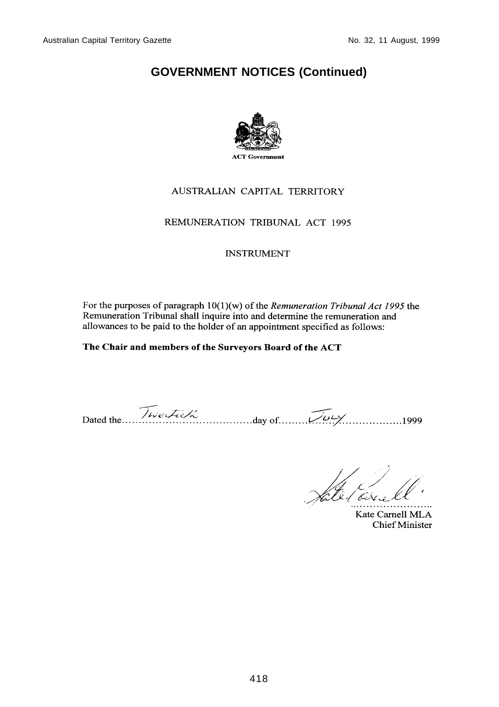

#### AUSTRALIAN CAPITAL TERRITORY

#### REMUNERATION TRIBUNAL ACT 1995

#### **INSTRUMENT**

For the purposes of paragraph  $10(1)(w)$  of the *Remuneration Tribunal Act 1995* the Remuneration Tribunal shall inquire into and determine the remuneration and allowances to be paid to the holder of an appointment specified as follows:

#### The Chair and members of the Surveyors Board of the ACT

Dated the Twestie R day of  $\overline{\mathcal{W}}$ 

tal Carrel

Kate Carnell MLA **Chief Minister**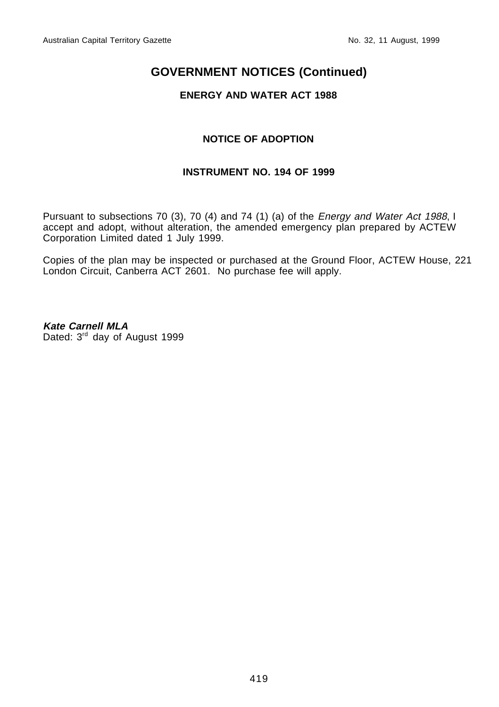#### **ENERGY AND WATER ACT 1988**

#### **NOTICE OF ADOPTION**

#### **INSTRUMENT NO. 194 OF 1999**

Pursuant to subsections 70 (3), 70 (4) and 74 (1) (a) of the Energy and Water Act 1988, I accept and adopt, without alteration, the amended emergency plan prepared by ACTEW Corporation Limited dated 1 July 1999.

Copies of the plan may be inspected or purchased at the Ground Floor, ACTEW House, 221 London Circuit, Canberra ACT 2601. No purchase fee will apply.

**Kate Carnell MLA** Dated: 3rd day of August 1999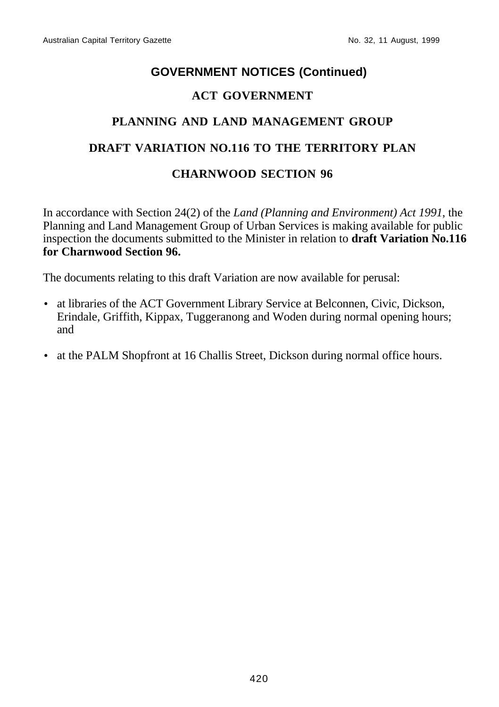#### **ACT GOVERNMENT**

## **PLANNING AND LAND MANAGEMENT GROUP**

## **DRAFT VARIATION NO.116 TO THE TERRITORY PLAN**

#### **CHARNWOOD SECTION 96**

In accordance with Section 24(2) of the *Land (Planning and Environment) Act 1991*, the Planning and Land Management Group of Urban Services is making available for public inspection the documents submitted to the Minister in relation to **draft Variation No.116 for Charnwood Section 96.**

The documents relating to this draft Variation are now available for perusal:

- at libraries of the ACT Government Library Service at Belconnen, Civic, Dickson, Erindale, Griffith, Kippax, Tuggeranong and Woden during normal opening hours; and
- at the PALM Shopfront at 16 Challis Street, Dickson during normal office hours.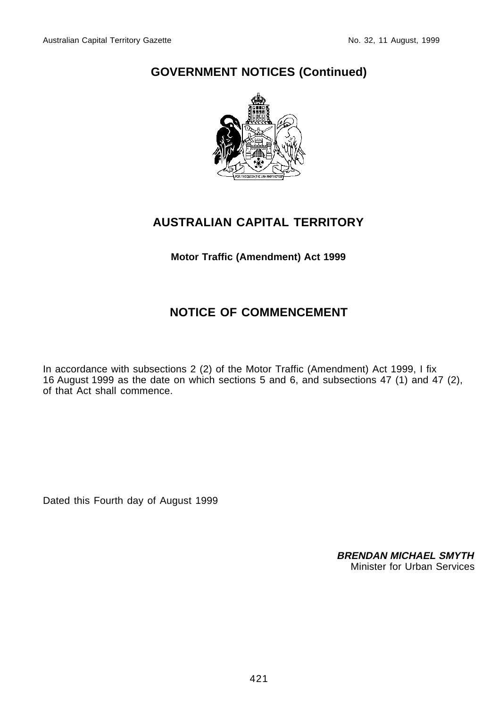

## **AUSTRALIAN CAPITAL TERRITORY**

#### **Motor Traffic (Amendment) Act 1999**

## **NOTICE OF COMMENCEMENT**

In accordance with subsections 2 (2) of the Motor Traffic (Amendment) Act 1999, I fix 16 August 1999 as the date on which sections 5 and 6, and subsections 47 (1) and 47 (2), of that Act shall commence.

Dated this Fourth day of August 1999

**BRENDAN MICHAEL SMYTH** Minister for Urban Services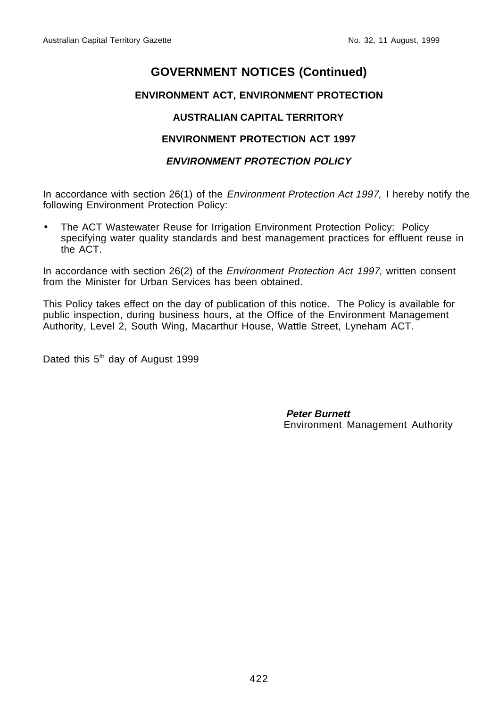#### **ENVIRONMENT ACT, ENVIRONMENT PROTECTION**

#### **AUSTRALIAN CAPITAL TERRITORY**

#### **ENVIRONMENT PROTECTION ACT 1997**

#### **ENVIRONMENT PROTECTION POLICY**

In accordance with section 26(1) of the *Environment Protection Act 1997*, I hereby notify the following Environment Protection Policy:

• The ACT Wastewater Reuse for Irrigation Environment Protection Policy: Policy specifying water quality standards and best management practices for effluent reuse in the ACT.

In accordance with section 26(2) of the *Environment Protection Act 1997*, written consent from the Minister for Urban Services has been obtained.

This Policy takes effect on the day of publication of this notice. The Policy is available for public inspection, during business hours, at the Office of the Environment Management Authority, Level 2, South Wing, Macarthur House, Wattle Street, Lyneham ACT.

Dated this  $5<sup>th</sup>$  day of August 1999

 **Peter Burnett** Environment Management Authority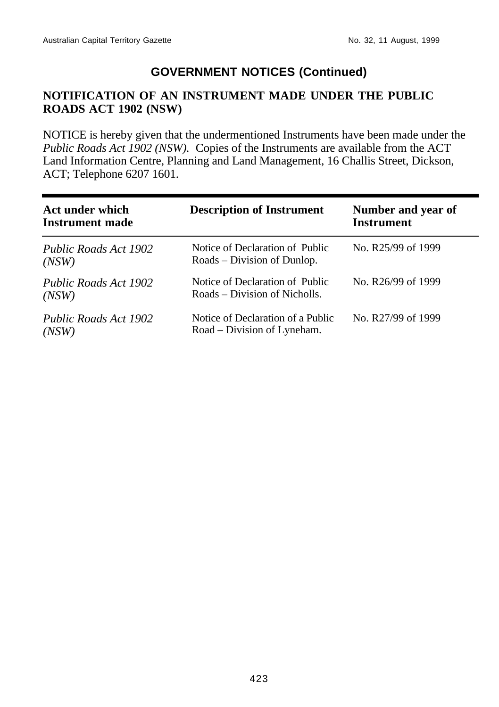#### **NOTIFICATION OF AN INSTRUMENT MADE UNDER THE PUBLIC ROADS ACT 1902 (NSW)**

NOTICE is hereby given that the undermentioned Instruments have been made under the *Public Roads Act 1902 (NSW).* Copies of the Instruments are available from the ACT Land Information Centre, Planning and Land Management, 16 Challis Street, Dickson, ACT; Telephone 6207 1601.

| Act under which<br><b>Instrument made</b> | <b>Description of Instrument</b>                                 | Number and year of<br><b>Instrument</b> |
|-------------------------------------------|------------------------------------------------------------------|-----------------------------------------|
| Public Roads Act 1902<br>(NSW)            | Notice of Declaration of Public<br>Roads – Division of Dunlop.   | No. R25/99 of 1999                      |
| Public Roads Act 1902<br>(NSW)            | Notice of Declaration of Public<br>Roads – Division of Nicholls. | No. R26/99 of 1999                      |
| Public Roads Act 1902<br>(NSW)            | Notice of Declaration of a Public<br>Road – Division of Lyneham. | No. R27/99 of 1999                      |